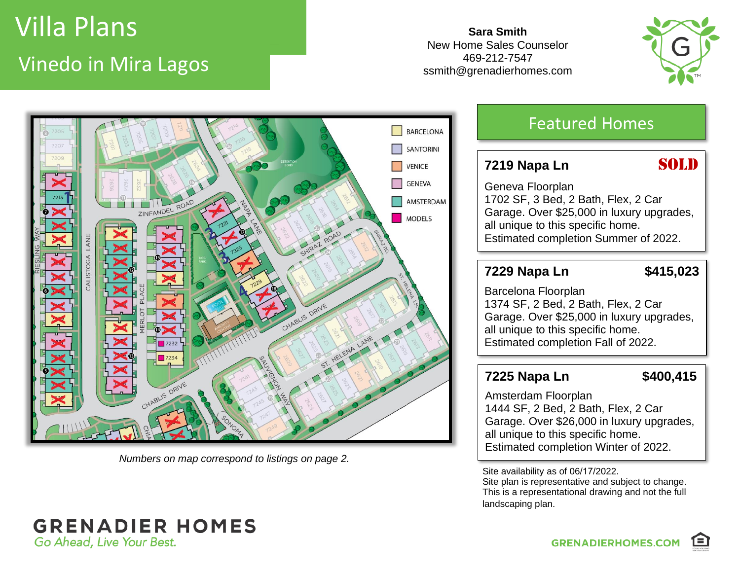# Villa Plans Vinedo in Mira Lagos

**Sara Smith** New Home Sales Counselor 469-212-7547 ssmith@grenadierhomes.com





*Numbers on map correspond to listings on page 2.*

### Featured Homes

#### **7219** Napa Ln **SOLD**

Geneva Floorplan 1702 SF, 3 Bed, 2 Bath, Flex, 2 Car Garage. Over \$25,000 in luxury upgrades, all unique to this specific home. Estimated completion Summer of 2022.

#### **7229 Napa Ln \$415,023**

Barcelona Floorplan 1374 SF, 2 Bed, 2 Bath, Flex, 2 Car Garage. Over \$25,000 in luxury upgrades, all unique to this specific home. Estimated completion Fall of 2022.

#### **7225 Napa Ln \$400,415**

Amsterdam Floorplan 1444 SF, 2 Bed, 2 Bath, Flex, 2 Car Garage. Over \$26,000 in luxury upgrades, all unique to this specific home. Estimated completion Winter of 2022.

Site availability as of 06/17/2022.

Site plan is representative and subject to change. This is a representational drawing and not the full landscaping plan.

#### **GRENADIER HOMES** Go Ahead, Live Your Best.